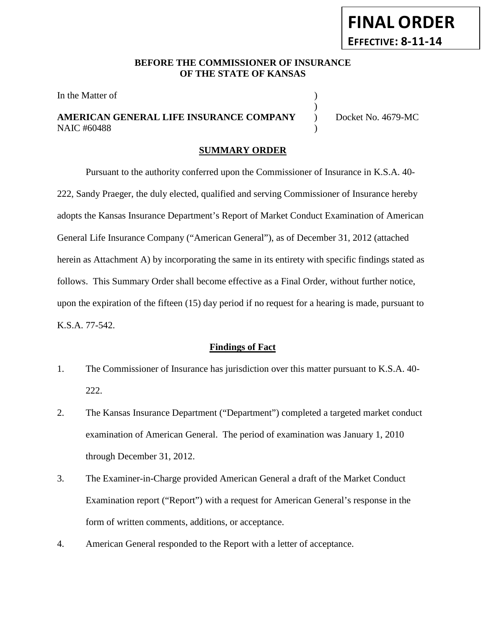### **BEFORE THE COMMISSIONER OF INSURANCE OF THE STATE OF KANSAS**

In the Matter of  $\hspace{1.5cm}$  )

## **AMERICAN GENERAL LIFE INSURANCE COMPANY** ) Docket No. 4679-MC NAIC #60488 (1992)

**FINAL ORDER**

**EFFECTIVE: 8-11-14**

)

#### **SUMMARY ORDER**

Pursuant to the authority conferred upon the Commissioner of Insurance in K.S.A. 40- 222, Sandy Praeger, the duly elected, qualified and serving Commissioner of Insurance hereby adopts the Kansas Insurance Department's Report of Market Conduct Examination of American General Life Insurance Company ("American General"), as of December 31, 2012 (attached herein as Attachment A) by incorporating the same in its entirety with specific findings stated as follows. This Summary Order shall become effective as a Final Order, without further notice, upon the expiration of the fifteen (15) day period if no request for a hearing is made, pursuant to K.S.A. 77-542.

#### **Findings of Fact**

- 1. The Commissioner of Insurance has jurisdiction over this matter pursuant to K.S.A. 40- 222.
- 2. The Kansas Insurance Department ("Department") completed a targeted market conduct examination of American General. The period of examination was January 1, 2010 through December 31, 2012.
- 3. The Examiner-in-Charge provided American General a draft of the Market Conduct Examination report ("Report") with a request for American General's response in the form of written comments, additions, or acceptance.
- 4. American General responded to the Report with a letter of acceptance.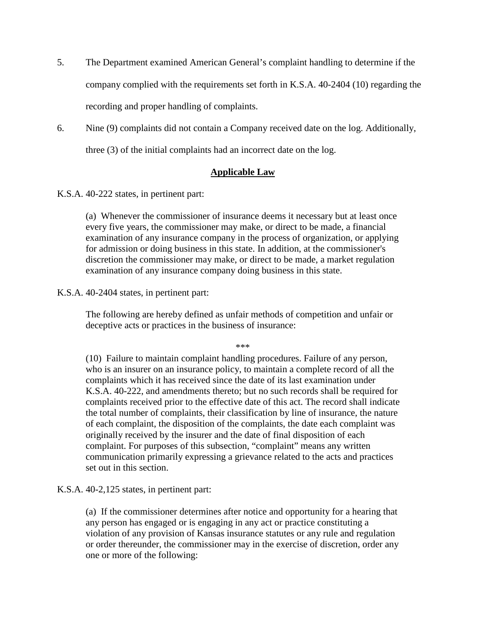- 5. The Department examined American General's complaint handling to determine if the company complied with the requirements set forth in K.S.A. 40-2404 (10) regarding the recording and proper handling of complaints.
- 6. Nine (9) complaints did not contain a Company received date on the log. Additionally, three (3) of the initial complaints had an incorrect date on the log.

#### **Applicable Law**

K.S.A. 40-222 states, in pertinent part:

(a) Whenever the commissioner of insurance deems it necessary but at least once every five years, the commissioner may make, or direct to be made, a financial examination of any insurance company in the process of organization, or applying for admission or doing business in this state. In addition, at the commissioner's discretion the commissioner may make, or direct to be made, a market regulation examination of any insurance company doing business in this state.

#### K.S.A. 40-2404 states, in pertinent part:

The following are hereby defined as unfair methods of competition and unfair or deceptive acts or practices in the business of insurance:

\*\*\*

(10) Failure to maintain complaint handling procedures. Failure of any person, who is an insurer on an insurance policy, to maintain a complete record of all the complaints which it has received since the date of its last examination under K.S.A. 40-222, and amendments thereto; but no such records shall be required for complaints received prior to the effective date of this act. The record shall indicate the total number of complaints, their classification by line of insurance, the nature of each complaint, the disposition of the complaints, the date each complaint was originally received by the insurer and the date of final disposition of each complaint. For purposes of this subsection, "complaint" means any written communication primarily expressing a grievance related to the acts and practices set out in this section.

K.S.A. 40-2,125 states, in pertinent part:

(a) If the commissioner determines after notice and opportunity for a hearing that any person has engaged or is engaging in any act or practice constituting a violation of any provision of Kansas insurance statutes or any rule and regulation or order thereunder, the commissioner may in the exercise of discretion, order any one or more of the following: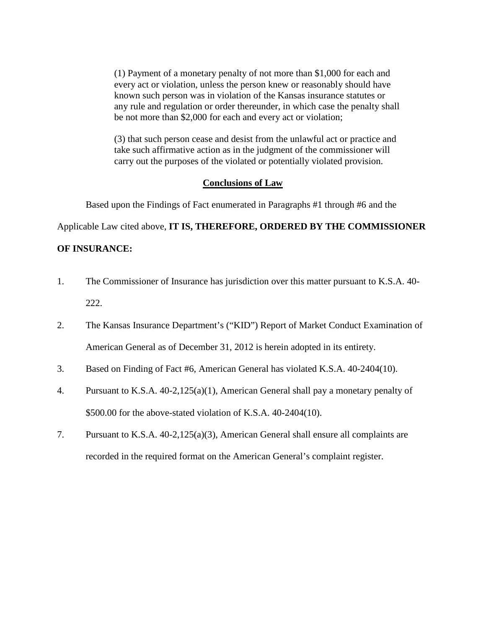(1) Payment of a monetary penalty of not more than \$1,000 for each and every act or violation, unless the person knew or reasonably should have known such person was in violation of the Kansas insurance statutes or any rule and regulation or order thereunder, in which case the penalty shall be not more than \$2,000 for each and every act or violation;

(3) that such person cease and desist from the unlawful act or practice and take such affirmative action as in the judgment of the commissioner will carry out the purposes of the violated or potentially violated provision.

#### **Conclusions of Law**

Based upon the Findings of Fact enumerated in Paragraphs #1 through #6 and the

Applicable Law cited above, **IT IS, THEREFORE, ORDERED BY THE COMMISSIONER** 

### **OF INSURANCE:**

- 1. The Commissioner of Insurance has jurisdiction over this matter pursuant to K.S.A. 40- 222.
- 2. The Kansas Insurance Department's ("KID") Report of Market Conduct Examination of American General as of December 31, 2012 is herein adopted in its entirety.
- 3. Based on Finding of Fact #6, American General has violated K.S.A. 40-2404(10).
- 4. Pursuant to K.S.A. 40-2,125(a)(1), American General shall pay a monetary penalty of \$500.00 for the above-stated violation of K.S.A. 40-2404(10).
- 7. Pursuant to K.S.A. 40-2,125(a)(3), American General shall ensure all complaints are recorded in the required format on the American General's complaint register.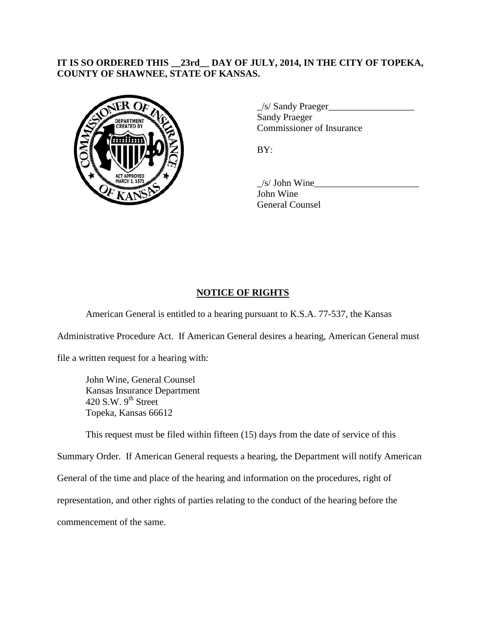## **IT IS SO ORDERED THIS \_\_23rd\_\_ DAY OF JULY, 2014, IN THE CITY OF TOPEKA, COUNTY OF SHAWNEE, STATE OF KANSAS.**



 $\angle$ s/ Sandy Praeger $\angle$ Sandy Praeger Commissioner of Insurance

BY:

 $/s/$  John Wine John Wine General Counsel

# **NOTICE OF RIGHTS**

American General is entitled to a hearing pursuant to K.S.A. 77-537, the Kansas

Administrative Procedure Act. If American General desires a hearing, American General must

file a written request for a hearing with:

John Wine, General Counsel Kansas Insurance Department 420 S.W.  $9<sup>th</sup>$  Street Topeka, Kansas 66612

This request must be filed within fifteen (15) days from the date of service of this

Summary Order. If American General requests a hearing, the Department will notify American General of the time and place of the hearing and information on the procedures, right of representation, and other rights of parties relating to the conduct of the hearing before the commencement of the same.